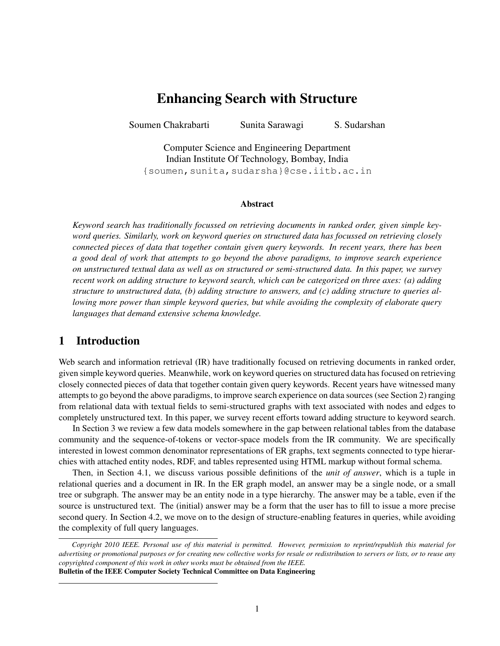# Enhancing Search with Structure

Soumen Chakrabarti Sunita Sarawagi S. Sudarshan

Computer Science and Engineering Department Indian Institute Of Technology, Bombay, India {soumen,sunita,sudarsha}@cse.iitb.ac.in

#### Abstract

*Keyword search has traditionally focussed on retrieving documents in ranked order, given simple keyword queries. Similarly, work on keyword queries on structured data has focussed on retrieving closely connected pieces of data that together contain given query keywords. In recent years, there has been a good deal of work that attempts to go beyond the above paradigms, to improve search experience on unstructured textual data as well as on structured or semi-structured data. In this paper, we survey recent work on adding structure to keyword search, which can be categorized on three axes: (a) adding structure to unstructured data, (b) adding structure to answers, and (c) adding structure to queries allowing more power than simple keyword queries, but while avoiding the complexity of elaborate query languages that demand extensive schema knowledge.*

# 1 Introduction

Web search and information retrieval (IR) have traditionally focused on retrieving documents in ranked order, given simple keyword queries. Meanwhile, work on keyword queries on structured data has focused on retrieving closely connected pieces of data that together contain given query keywords. Recent years have witnessed many attempts to go beyond the above paradigms, to improve search experience on data sources (see Section 2) ranging from relational data with textual fields to semi-structured graphs with text associated with nodes and edges to completely unstructured text. In this paper, we survey recent efforts toward adding structure to keyword search.

In Section 3 we review a few data models somewhere in the gap between relational tables from the database community and the sequence-of-tokens or vector-space models from the IR community. We are specifically interested in lowest common denominator representations of ER graphs, text segments connected to type hierarchies with attached entity nodes, RDF, and tables represented using HTML markup without formal schema.

Then, in Section 4.1, we discuss various possible definitions of the *unit of answer*, which is a tuple in relational queries and a document in IR. In the ER graph model, an answer may be a single node, or a small tree or subgraph. The answer may be an entity node in a type hierarchy. The answer may be a table, even if the source is unstructured text. The (initial) answer may be a form that the user has to fill to issue a more precise second query. In Section 4.2, we move on to the design of structure-enabling features in queries, while avoiding the complexity of full query languages.

*Copyright 2010 IEEE. Personal use of this material is permitted. However, permission to reprint/republish this material for advertising or promotional purposes or for creating new collective works for resale or redistribution to servers or lists, or to reuse any copyrighted component of this work in other works must be obtained from the IEEE.* Bulletin of the IEEE Computer Society Technical Committee on Data Engineering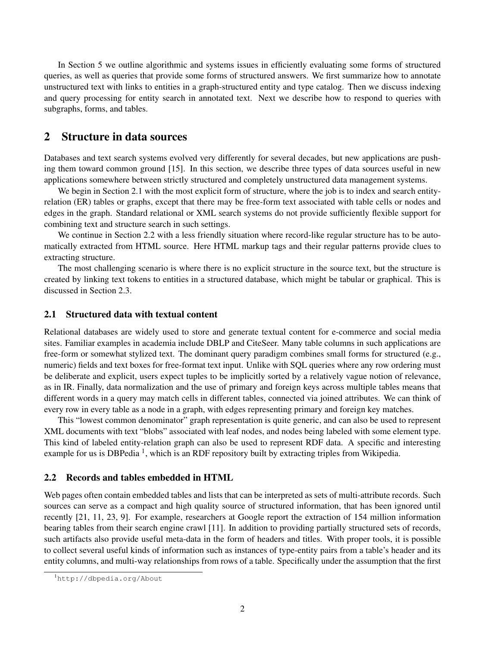In Section 5 we outline algorithmic and systems issues in efficiently evaluating some forms of structured queries, as well as queries that provide some forms of structured answers. We first summarize how to annotate unstructured text with links to entities in a graph-structured entity and type catalog. Then we discuss indexing and query processing for entity search in annotated text. Next we describe how to respond to queries with subgraphs, forms, and tables.

## 2 Structure in data sources

Databases and text search systems evolved very differently for several decades, but new applications are pushing them toward common ground [15]. In this section, we describe three types of data sources useful in new applications somewhere between strictly structured and completely unstructured data management systems.

We begin in Section 2.1 with the most explicit form of structure, where the job is to index and search entityrelation (ER) tables or graphs, except that there may be free-form text associated with table cells or nodes and edges in the graph. Standard relational or XML search systems do not provide sufficiently flexible support for combining text and structure search in such settings.

We continue in Section 2.2 with a less friendly situation where record-like regular structure has to be automatically extracted from HTML source. Here HTML markup tags and their regular patterns provide clues to extracting structure.

The most challenging scenario is where there is no explicit structure in the source text, but the structure is created by linking text tokens to entities in a structured database, which might be tabular or graphical. This is discussed in Section 2.3.

## 2.1 Structured data with textual content

Relational databases are widely used to store and generate textual content for e-commerce and social media sites. Familiar examples in academia include DBLP and CiteSeer. Many table columns in such applications are free-form or somewhat stylized text. The dominant query paradigm combines small forms for structured (e.g., numeric) fields and text boxes for free-format text input. Unlike with SQL queries where any row ordering must be deliberate and explicit, users expect tuples to be implicitly sorted by a relatively vague notion of relevance, as in IR. Finally, data normalization and the use of primary and foreign keys across multiple tables means that different words in a query may match cells in different tables, connected via joined attributes. We can think of every row in every table as a node in a graph, with edges representing primary and foreign key matches.

This "lowest common denominator" graph representation is quite generic, and can also be used to represent XML documents with text "blobs" associated with leaf nodes, and nodes being labeled with some element type. This kind of labeled entity-relation graph can also be used to represent RDF data. A specific and interesting example for us is DBPedia<sup>1</sup>, which is an RDF repository built by extracting triples from Wikipedia.

#### 2.2 Records and tables embedded in HTML

Web pages often contain embedded tables and lists that can be interpreted as sets of multi-attribute records. Such sources can serve as a compact and high quality source of structured information, that has been ignored until recently [21, 11, 23, 9]. For example, researchers at Google report the extraction of 154 million information bearing tables from their search engine crawl [11]. In addition to providing partially structured sets of records, such artifacts also provide useful meta-data in the form of headers and titles. With proper tools, it is possible to collect several useful kinds of information such as instances of type-entity pairs from a table's header and its entity columns, and multi-way relationships from rows of a table. Specifically under the assumption that the first

<sup>1</sup>http://dbpedia.org/About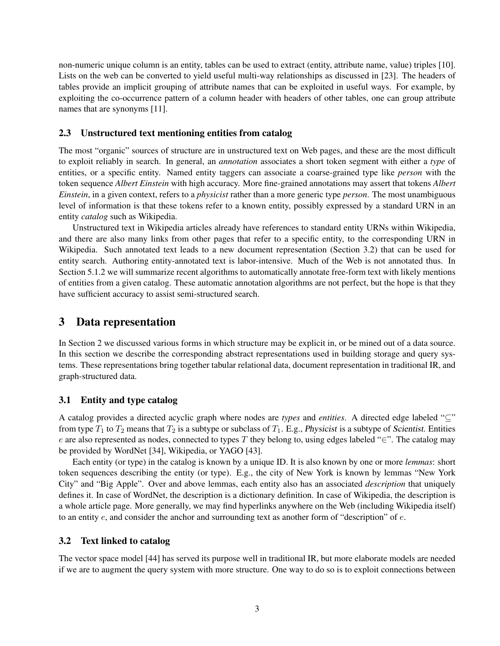non-numeric unique column is an entity, tables can be used to extract (entity, attribute name, value) triples [10]. Lists on the web can be converted to yield useful multi-way relationships as discussed in [23]. The headers of tables provide an implicit grouping of attribute names that can be exploited in useful ways. For example, by exploiting the co-occurrence pattern of a column header with headers of other tables, one can group attribute names that are synonyms [11].

#### 2.3 Unstructured text mentioning entities from catalog

The most "organic" sources of structure are in unstructured text on Web pages, and these are the most difficult to exploit reliably in search. In general, an *annotation* associates a short token segment with either a *type* of entities, or a specific entity. Named entity taggers can associate a coarse-grained type like *person* with the token sequence *Albert Einstein* with high accuracy. More fine-grained annotations may assert that tokens *Albert Einstein*, in a given context, refers to a *physicist* rather than a more generic type *person*. The most unambiguous level of information is that these tokens refer to a known entity, possibly expressed by a standard URN in an entity *catalog* such as Wikipedia.

Unstructured text in Wikipedia articles already have references to standard entity URNs within Wikipedia, and there are also many links from other pages that refer to a specific entity, to the corresponding URN in Wikipedia. Such annotated text leads to a new document representation (Section 3.2) that can be used for entity search. Authoring entity-annotated text is labor-intensive. Much of the Web is not annotated thus. In Section 5.1.2 we will summarize recent algorithms to automatically annotate free-form text with likely mentions of entities from a given catalog. These automatic annotation algorithms are not perfect, but the hope is that they have sufficient accuracy to assist semi-structured search.

## 3 Data representation

In Section 2 we discussed various forms in which structure may be explicit in, or be mined out of a data source. In this section we describe the corresponding abstract representations used in building storage and query systems. These representations bring together tabular relational data, document representation in traditional IR, and graph-structured data.

#### 3.1 Entity and type catalog

A catalog provides a directed acyclic graph where nodes are *types* and *entities*. A directed edge labeled "*⊆*" from type  $T_1$  to  $T_2$  means that  $T_2$  is a subtype or subclass of  $T_1$ . E.g., *Physicist* is a subtype of *Scientist*. Entities *e* are also represented as nodes, connected to types *T* they belong to, using edges labeled "*∈*". The catalog may be provided by WordNet [34], Wikipedia, or YAGO [43].

Each entity (or type) in the catalog is known by a unique ID. It is also known by one or more *lemmas*: short token sequences describing the entity (or type). E.g., the city of New York is known by lemmas "New York City" and "Big Apple". Over and above lemmas, each entity also has an associated *description* that uniquely defines it. In case of WordNet, the description is a dictionary definition. In case of Wikipedia, the description is a whole article page. More generally, we may find hyperlinks anywhere on the Web (including Wikipedia itself) to an entity *e*, and consider the anchor and surrounding text as another form of "description" of *e*.

#### 3.2 Text linked to catalog

The vector space model [44] has served its purpose well in traditional IR, but more elaborate models are needed if we are to augment the query system with more structure. One way to do so is to exploit connections between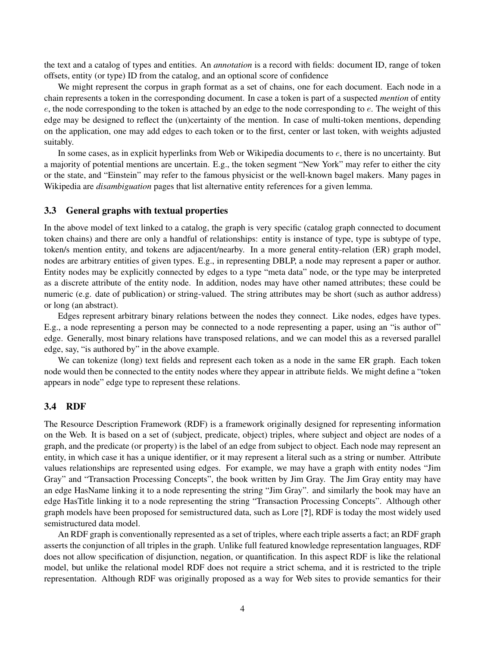the text and a catalog of types and entities. An *annotation* is a record with fields: document ID, range of token offsets, entity (or type) ID from the catalog, and an optional score of confidence

We might represent the corpus in graph format as a set of chains, one for each document. Each node in a chain represents a token in the corresponding document. In case a token is part of a suspected *mention* of entity *e*, the node corresponding to the token is attached by an edge to the node corresponding to *e*. The weight of this edge may be designed to reflect the (un)certainty of the mention. In case of multi-token mentions, depending on the application, one may add edges to each token or to the first, center or last token, with weights adjusted suitably.

In some cases, as in explicit hyperlinks from Web or Wikipedia documents to *e*, there is no uncertainty. But a majority of potential mentions are uncertain. E.g., the token segment "New York" may refer to either the city or the state, and "Einstein" may refer to the famous physicist or the well-known bagel makers. Many pages in Wikipedia are *disambiguation* pages that list alternative entity references for a given lemma.

## 3.3 General graphs with textual properties

In the above model of text linked to a catalog, the graph is very specific (catalog graph connected to document token chains) and there are only a handful of relationships: entity is instance of type, type is subtype of type, token/s mention entity, and tokens are adjacent/nearby. In a more general entity-relation (ER) graph model, nodes are arbitrary entities of given types. E.g., in representing DBLP, a node may represent a paper or author. Entity nodes may be explicitly connected by edges to a type "meta data" node, or the type may be interpreted as a discrete attribute of the entity node. In addition, nodes may have other named attributes; these could be numeric (e.g. date of publication) or string-valued. The string attributes may be short (such as author address) or long (an abstract).

Edges represent arbitrary binary relations between the nodes they connect. Like nodes, edges have types. E.g., a node representing a person may be connected to a node representing a paper, using an "is author of" edge. Generally, most binary relations have transposed relations, and we can model this as a reversed parallel edge, say, "is authored by" in the above example.

We can tokenize (long) text fields and represent each token as a node in the same ER graph. Each token node would then be connected to the entity nodes where they appear in attribute fields. We might define a "token appears in node" edge type to represent these relations.

#### 3.4 RDF

The Resource Description Framework (RDF) is a framework originally designed for representing information on the Web. It is based on a set of (subject, predicate, object) triples, where subject and object are nodes of a graph, and the predicate (or property) is the label of an edge from subject to object. Each node may represent an entity, in which case it has a unique identifier, or it may represent a literal such as a string or number. Attribute values relationships are represented using edges. For example, we may have a graph with entity nodes "Jim Gray" and "Transaction Processing Concepts", the book written by Jim Gray. The Jim Gray entity may have an edge HasName linking it to a node representing the string "Jim Gray". and similarly the book may have an edge HasTitle linking it to a node representing the string "Transaction Processing Concepts". Although other graph models have been proposed for semistructured data, such as Lore [?], RDF is today the most widely used semistructured data model.

An RDF graph is conventionally represented as a set of triples, where each triple asserts a fact; an RDF graph asserts the conjunction of all triples in the graph. Unlike full featured knowledge representation languages, RDF does not allow specification of disjunction, negation, or quantification. In this aspect RDF is like the relational model, but unlike the relational model RDF does not require a strict schema, and it is restricted to the triple representation. Although RDF was originally proposed as a way for Web sites to provide semantics for their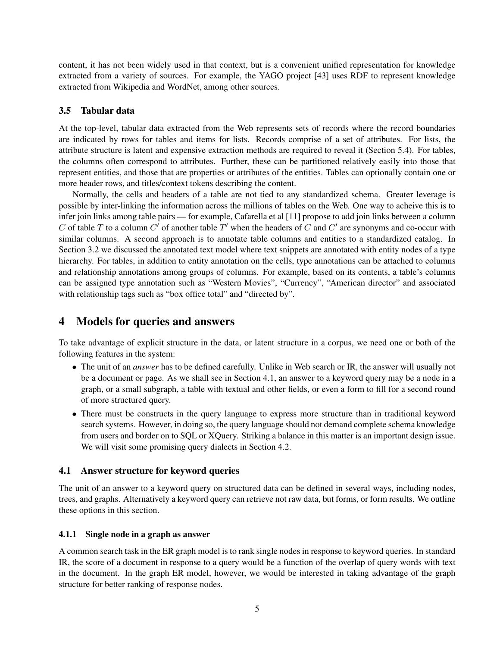content, it has not been widely used in that context, but is a convenient unified representation for knowledge extracted from a variety of sources. For example, the YAGO project [43] uses RDF to represent knowledge extracted from Wikipedia and WordNet, among other sources.

## 3.5 Tabular data

At the top-level, tabular data extracted from the Web represents sets of records where the record boundaries are indicated by rows for tables and items for lists. Records comprise of a set of attributes. For lists, the attribute structure is latent and expensive extraction methods are required to reveal it (Section 5.4). For tables, the columns often correspond to attributes. Further, these can be partitioned relatively easily into those that represent entities, and those that are properties or attributes of the entities. Tables can optionally contain one or more header rows, and titles/context tokens describing the content.

Normally, the cells and headers of a table are not tied to any standardized schema. Greater leverage is possible by inter-linking the information across the millions of tables on the Web. One way to acheive this is to infer join links among table pairs — for example, Cafarella et al [11] propose to add join links between a column *C* of table *T* to a column  $C'$  of another table  $T'$  when the headers of  $C$  and  $C'$  are synonyms and co-occur with similar columns. A second approach is to annotate table columns and entities to a standardized catalog. In Section 3.2 we discussed the annotated text model where text snippets are annotated with entity nodes of a type hierarchy. For tables, in addition to entity annotation on the cells, type annotations can be attached to columns and relationship annotations among groups of columns. For example, based on its contents, a table's columns can be assigned type annotation such as "Western Movies", "Currency", "American director" and associated with relationship tags such as "box office total" and "directed by".

# 4 Models for queries and answers

To take advantage of explicit structure in the data, or latent structure in a corpus, we need one or both of the following features in the system:

- The unit of an *answer* has to be defined carefully. Unlike in Web search or IR, the answer will usually not be a document or page. As we shall see in Section 4.1, an answer to a keyword query may be a node in a graph, or a small subgraph, a table with textual and other fields, or even a form to fill for a second round of more structured query.
- There must be constructs in the query language to express more structure than in traditional keyword search systems. However, in doing so, the query language should not demand complete schema knowledge from users and border on to SQL or XQuery. Striking a balance in this matter is an important design issue. We will visit some promising query dialects in Section 4.2.

## 4.1 Answer structure for keyword queries

The unit of an answer to a keyword query on structured data can be defined in several ways, including nodes, trees, and graphs. Alternatively a keyword query can retrieve not raw data, but forms, or form results. We outline these options in this section.

## 4.1.1 Single node in a graph as answer

A common search task in the ER graph model is to rank single nodes in response to keyword queries. In standard IR, the score of a document in response to a query would be a function of the overlap of query words with text in the document. In the graph ER model, however, we would be interested in taking advantage of the graph structure for better ranking of response nodes.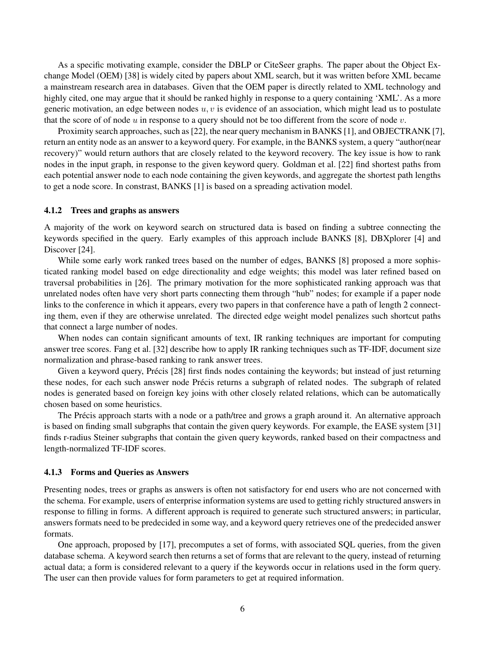As a specific motivating example, consider the DBLP or CiteSeer graphs. The paper about the Object Exchange Model (OEM) [38] is widely cited by papers about XML search, but it was written before XML became a mainstream research area in databases. Given that the OEM paper is directly related to XML technology and highly cited, one may argue that it should be ranked highly in response to a query containing 'XML'. As a more generic motivation, an edge between nodes *u, v* is evidence of an association, which might lead us to postulate that the score of of node *u* in response to a query should not be too different from the score of node *v*.

Proximity search approaches, such as [22], the near query mechanism in BANKS [1], and OBJECTRANK [7], return an entity node as an answer to a keyword query. For example, in the BANKS system, a query "author(near recovery)" would return authors that are closely related to the keyword recovery. The key issue is how to rank nodes in the input graph, in response to the given keyword query. Goldman et al. [22] find shortest paths from each potential answer node to each node containing the given keywords, and aggregate the shortest path lengths to get a node score. In constrast, BANKS [1] is based on a spreading activation model.

#### 4.1.2 Trees and graphs as answers

A majority of the work on keyword search on structured data is based on finding a subtree connecting the keywords specified in the query. Early examples of this approach include BANKS [8], DBXplorer [4] and Discover [24].

While some early work ranked trees based on the number of edges, BANKS [8] proposed a more sophisticated ranking model based on edge directionality and edge weights; this model was later refined based on traversal probabilities in [26]. The primary motivation for the more sophisticated ranking approach was that unrelated nodes often have very short parts connecting them through "hub" nodes; for example if a paper node links to the conference in which it appears, every two papers in that conference have a path of length 2 connecting them, even if they are otherwise unrelated. The directed edge weight model penalizes such shortcut paths that connect a large number of nodes.

When nodes can contain significant amounts of text, IR ranking techniques are important for computing answer tree scores. Fang et al. [32] describe how to apply IR ranking techniques such as TF-IDF, document size normalization and phrase-based ranking to rank answer trees.

Given a keyword query, Précis [28] first finds nodes containing the keywords; but instead of just returning these nodes, for each such answer node Precis returns a subgraph of related nodes. The subgraph of related ´ nodes is generated based on foreign key joins with other closely related relations, which can be automatically chosen based on some heuristics.

The Précis approach starts with a node or a path/tree and grows a graph around it. An alternative approach is based on finding small subgraphs that contain the given query keywords. For example, the EASE system [31] finds r-radius Steiner subgraphs that contain the given query keywords, ranked based on their compactness and length-normalized TF-IDF scores.

#### 4.1.3 Forms and Queries as Answers

Presenting nodes, trees or graphs as answers is often not satisfactory for end users who are not concerned with the schema. For example, users of enterprise information systems are used to getting richly structured answers in response to filling in forms. A different approach is required to generate such structured answers; in particular, answers formats need to be predecided in some way, and a keyword query retrieves one of the predecided answer formats.

One approach, proposed by [17], precomputes a set of forms, with associated SQL queries, from the given database schema. A keyword search then returns a set of forms that are relevant to the query, instead of returning actual data; a form is considered relevant to a query if the keywords occur in relations used in the form query. The user can then provide values for form parameters to get at required information.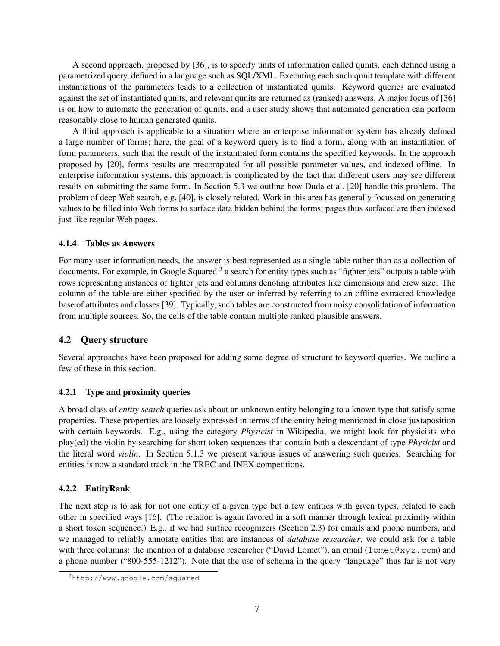A second approach, proposed by [36], is to specify units of information called qunits, each defined using a parametrized query, defined in a language such as SQL/XML. Executing each such qunit template with different instantiations of the parameters leads to a collection of instantiated qunits. Keyword queries are evaluated against the set of instantiated qunits, and relevant qunits are returned as (ranked) answers. A major focus of [36] is on how to automate the generation of qunits, and a user study shows that automated generation can perform reasonably close to human generated qunits.

A third approach is applicable to a situation where an enterprise information system has already defined a large number of forms; here, the goal of a keyword query is to find a form, along with an instantiation of form parameters, such that the result of the instantiated form contains the specified keywords. In the approach proposed by [20], forms results are precomputed for all possible parameter values, and indexed offline. In enterprise information systems, this approach is complicated by the fact that different users may see different results on submitting the same form. In Section 5.3 we outline how Duda et al. [20] handle this problem. The problem of deep Web search, e.g. [40], is closely related. Work in this area has generally focussed on generating values to be filled into Web forms to surface data hidden behind the forms; pages thus surfaced are then indexed just like regular Web pages.

## 4.1.4 Tables as Answers

For many user information needs, the answer is best represented as a single table rather than as a collection of documents. For example, in Google Squared  $^2$  a search for entity types such as "fighter jets" outputs a table with rows representing instances of fighter jets and columns denoting attributes like dimensions and crew size. The column of the table are either specified by the user or inferred by referring to an offline extracted knowledge base of attributes and classes [39]. Typically, such tables are constructed from noisy consolidation of information from multiple sources. So, the cells of the table contain multiple ranked plausible answers.

## 4.2 Query structure

Several approaches have been proposed for adding some degree of structure to keyword queries. We outline a few of these in this section.

## 4.2.1 Type and proximity queries

A broad class of *entity search* queries ask about an unknown entity belonging to a known type that satisfy some properties. These properties are loosely expressed in terms of the entity being mentioned in close juxtaposition with certain keywords. E.g., using the category *Physicist* in Wikipedia, we might look for physicists who play(ed) the violin by searching for short token sequences that contain both a descendant of type *Physicist* and the literal word *violin*. In Section 5.1.3 we present various issues of answering such queries. Searching for entities is now a standard track in the TREC and INEX competitions.

## 4.2.2 EntityRank

The next step is to ask for not one entity of a given type but a few entities with given types, related to each other in specified ways [16]. (The relation is again favored in a soft manner through lexical proximity within a short token sequence.) E.g., if we had surface recognizers (Section 2.3) for emails and phone numbers, and we managed to reliably annotate entities that are instances of *database researcher*, we could ask for a table with three columns: the mention of a database researcher ("David Lomet"), an email ( $l$ omet $Qxyz$ .com) and a phone number ("800-555-1212"). Note that the use of schema in the query "language" thus far is not very

<sup>2</sup>http://www.google.com/squared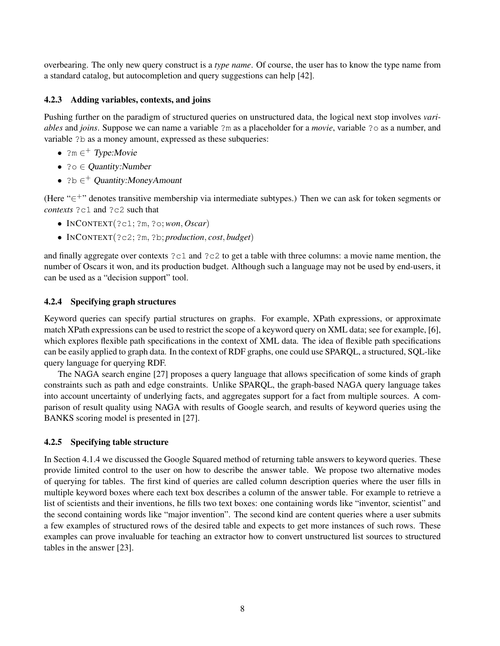overbearing. The only new query construct is a *type name*. Of course, the user has to know the type name from a standard catalog, but autocompletion and query suggestions can help [42].

## 4.2.3 Adding variables, contexts, and joins

Pushing further on the paradigm of structured queries on unstructured data, the logical next stop involves *variables* and *joins*. Suppose we can name a variable ?m as a placeholder for a *movie*, variable ?o as a number, and variable ?b as a money amount, expressed as these subqueries:

- *•* ?m *∈* <sup>+</sup> Type:Movie
- *•* ?o *∈* Quantity:Number
- *•* ?b *∈* <sup>+</sup> Quantity:MoneyAmount

(Here "*∈* <sup>+</sup>" denotes transitive membership via intermediate subtypes.) Then we can ask for token segments or *contexts* ?c1 and ?c2 such that

- *•* INCONTEXT(?c1; ?m*,* ?o;*won, Oscar*)
- *•* INCONTEXT(?c2; ?m*,* ?b; *production, cost, budget*)

and finally aggregate over contexts ?c1 and ?c2 to get a table with three columns: a movie name mention, the number of Oscars it won, and its production budget. Although such a language may not be used by end-users, it can be used as a "decision support" tool.

## 4.2.4 Specifying graph structures

Keyword queries can specify partial structures on graphs. For example, XPath expressions, or approximate match XPath expressions can be used to restrict the scope of a keyword query on XML data; see for example, [6], which explores flexible path specifications in the context of XML data. The idea of flexible path specifications can be easily applied to graph data. In the context of RDF graphs, one could use SPARQL, a structured, SQL-like query language for querying RDF.

The NAGA search engine [27] proposes a query language that allows specification of some kinds of graph constraints such as path and edge constraints. Unlike SPARQL, the graph-based NAGA query language takes into account uncertainty of underlying facts, and aggregates support for a fact from multiple sources. A comparison of result quality using NAGA with results of Google search, and results of keyword queries using the BANKS scoring model is presented in [27].

## 4.2.5 Specifying table structure

In Section 4.1.4 we discussed the Google Squared method of returning table answers to keyword queries. These provide limited control to the user on how to describe the answer table. We propose two alternative modes of querying for tables. The first kind of queries are called column description queries where the user fills in multiple keyword boxes where each text box describes a column of the answer table. For example to retrieve a list of scientists and their inventions, he fills two text boxes: one containing words like "inventor, scientist" and the second containing words like "major invention". The second kind are content queries where a user submits a few examples of structured rows of the desired table and expects to get more instances of such rows. These examples can prove invaluable for teaching an extractor how to convert unstructured list sources to structured tables in the answer [23].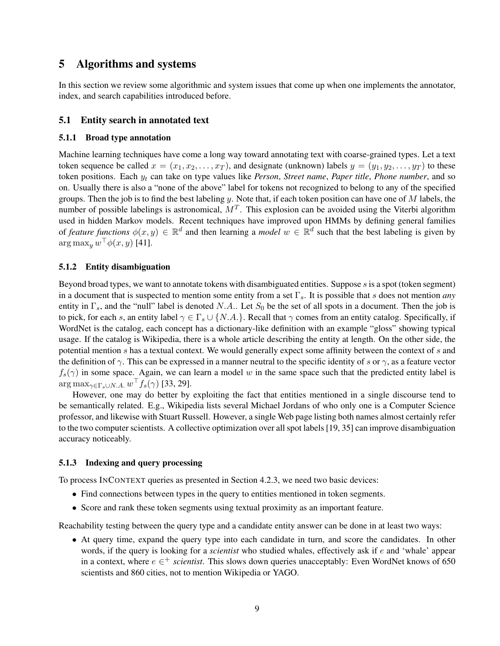# 5 Algorithms and systems

In this section we review some algorithmic and system issues that come up when one implements the annotator, index, and search capabilities introduced before.

## 5.1 Entity search in annotated text

#### 5.1.1 Broad type annotation

Machine learning techniques have come a long way toward annotating text with coarse-grained types. Let a text token sequence be called  $x = (x_1, x_2, \ldots, x_T)$ , and designate (unknown) labels  $y = (y_1, y_2, \ldots, y_T)$  to these token positions. Each *y<sup>t</sup>* can take on type values like *Person*, *Street name*, *Paper title*, *Phone number*, and so on. Usually there is also a "none of the above" label for tokens not recognized to belong to any of the specified groups. Then the job is to find the best labeling *y*. Note that, if each token position can have one of *M* labels, the number of possible labelings is astronomical, *M<sup>T</sup>* . This explosion can be avoided using the Viterbi algorithm used in hidden Markov models. Recent techniques have improved upon HMMs by defining general families of *feature functions*  $\phi(x, y) \in \mathbb{R}^d$  and then learning a *model*  $w \in \mathbb{R}^d$  such that the best labeling is given by arg max<sub>y</sub>  $w' \phi(x, y)$  [41].

## 5.1.2 Entity disambiguation

Beyond broad types, we want to annotate tokens with disambiguated entities. Suppose *s* is a spot (token segment) in a document that is suspected to mention some entity from a set Γ*s*. It is possible that *s* does not mention *any* entity in Γ*s*, and the "null" label is denoted *N.A.*. Let *S*<sup>0</sup> be the set of all spots in a document. Then the job is to pick, for each *s*, an entity label  $\gamma \in \Gamma_s \cup \{N.A.\}$ . Recall that  $\gamma$  comes from an entity catalog. Specifically, if WordNet is the catalog, each concept has a dictionary-like definition with an example "gloss" showing typical usage. If the catalog is Wikipedia, there is a whole article describing the entity at length. On the other side, the potential mention *s* has a textual context. We would generally expect some affinity between the context of *s* and the definition of *γ*. This can be expressed in a manner neutral to the specific identity of *s* or *γ*, as a feature vector  $f_s(\gamma)$  in some space. Again, we can learn a model *w* in the same space such that the predicted entity label is arg max*γ∈*Γ*s∪N.A. w <sup>⊤</sup>fs*(*γ*) [33, 29].

However, one may do better by exploiting the fact that entities mentioned in a single discourse tend to be semantically related. E.g., Wikipedia lists several Michael Jordans of who only one is a Computer Science professor, and likewise with Stuart Russell. However, a single Web page listing both names almost certainly refer to the two computer scientists. A collective optimization over all spot labels [19, 35] can improve disambiguation accuracy noticeably.

#### 5.1.3 Indexing and query processing

To process INCONTEXT queries as presented in Section 4.2.3, we need two basic devices:

- Find connections between types in the query to entities mentioned in token segments.
- Score and rank these token segments using textual proximity as an important feature.

Reachability testing between the query type and a candidate entity answer can be done in at least two ways:

• At query time, expand the query type into each candidate in turn, and score the candidates. In other words, if the query is looking for a *scientist* who studied whales, effectively ask if *e* and 'whale' appear in a context, where *e ∈* <sup>+</sup> *scientist*. This slows down queries unacceptably: Even WordNet knows of 650 scientists and 860 cities, not to mention Wikipedia or YAGO.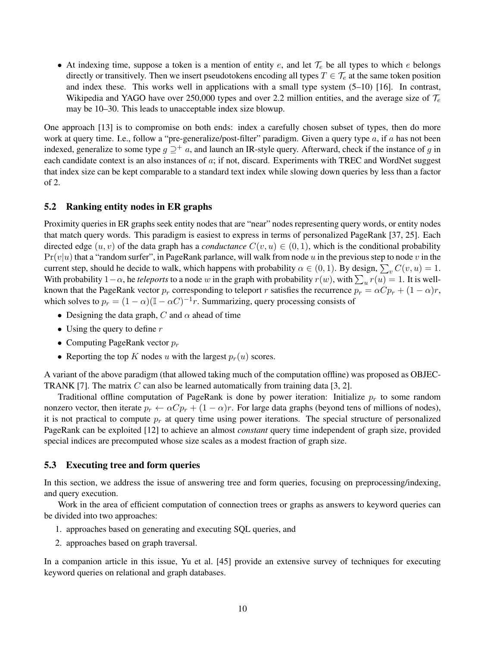*•* At indexing time, suppose a token is a mention of entity *e*, and let *T<sup>e</sup>* be all types to which *e* belongs directly or transitively. Then we insert pseudotokens encoding all types  $T \in \mathcal{T}_e$  at the same token position and index these. This works well in applications with a small type system (5–10) [16]. In contrast, Wikipedia and YAGO have over 250,000 types and over 2.2 million entities, and the average size of  $\mathcal{T}_e$ may be 10–30. This leads to unacceptable index size blowup.

One approach [13] is to compromise on both ends: index a carefully chosen subset of types, then do more work at query time. I.e., follow a "pre-generalize/post-filter" paradigm. Given a query type *a*, if *a* has not been indexed, generalize to some type  $g \supseteq^+ a$ , and launch an IR-style query. Afterward, check if the instance of *g* in each candidate context is an also instances of *a*; if not, discard. Experiments with TREC and WordNet suggest that index size can be kept comparable to a standard text index while slowing down queries by less than a factor of 2.

#### 5.2 Ranking entity nodes in ER graphs

Proximity queries in ER graphs seek entity nodes that are "near" nodes representing query words, or entity nodes that match query words. This paradigm is easiest to express in terms of personalized PageRank [37, 25]. Each directed edge  $(u, v)$  of the data graph has a *conductance*  $C(v, u) \in (0, 1)$ , which is the conditional probability  $Pr(v|u)$  that a "random surfer", in PageRank parlance, will walk from node *u* in the previous step to node *v* in the current step, should he decide to walk, which happens with probability  $\alpha \in (0, 1)$ . By design,  $\sum_{v} C(v, u) = 1$ . With probability 1*−α*, he *teleports* to a node *w* in the graph with probability  $r(w)$ , with  $\sum_{u} r(u) = 1$ . It is wellknown that the PageRank vector  $p_r$  corresponding to teleport *r* satisfies the recurrence  $p_r = \alpha C p_r + (1 - \alpha)r$ , which solves to  $p_r = (1 - \alpha)(\mathbb{I} - \alpha C)^{-1}r$ . Summarizing, query processing consists of

- *•* Designing the data graph, *C* and *α* ahead of time
- *•* Using the query to define *r*
- *•* Computing PageRank vector *p<sup>r</sup>*
- Reporting the top *K* nodes *u* with the largest  $p_r(u)$  scores.

A variant of the above paradigm (that allowed taking much of the computation offline) was proposed as OBJEC-TRANK [7]. The matrix *C* can also be learned automatically from training data [3, 2].

Traditional offline computation of PageRank is done by power iteration: Initialize *p<sup>r</sup>* to some random nonzero vector, then iterate  $p_r \leftarrow \alpha C p_r + (1 - \alpha)r$ . For large data graphs (beyond tens of millions of nodes), it is not practical to compute  $p_r$  at query time using power iterations. The special structure of personalized PageRank can be exploited [12] to achieve an almost *constant* query time independent of graph size, provided special indices are precomputed whose size scales as a modest fraction of graph size.

#### 5.3 Executing tree and form queries

In this section, we address the issue of answering tree and form queries, focusing on preprocessing/indexing, and query execution.

Work in the area of efficient computation of connection trees or graphs as answers to keyword queries can be divided into two approaches:

- 1. approaches based on generating and executing SQL queries, and
- 2. approaches based on graph traversal.

In a companion article in this issue, Yu et al. [45] provide an extensive survey of techniques for executing keyword queries on relational and graph databases.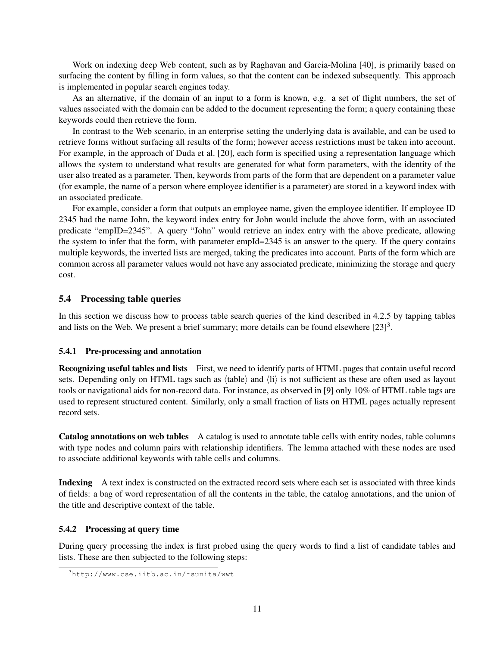Work on indexing deep Web content, such as by Raghavan and Garcia-Molina [40], is primarily based on surfacing the content by filling in form values, so that the content can be indexed subsequently. This approach is implemented in popular search engines today.

As an alternative, if the domain of an input to a form is known, e.g. a set of flight numbers, the set of values associated with the domain can be added to the document representing the form; a query containing these keywords could then retrieve the form.

In contrast to the Web scenario, in an enterprise setting the underlying data is available, and can be used to retrieve forms without surfacing all results of the form; however access restrictions must be taken into account. For example, in the approach of Duda et al. [20], each form is specified using a representation language which allows the system to understand what results are generated for what form parameters, with the identity of the user also treated as a parameter. Then, keywords from parts of the form that are dependent on a parameter value (for example, the name of a person where employee identifier is a parameter) are stored in a keyword index with an associated predicate.

For example, consider a form that outputs an employee name, given the employee identifier. If employee ID 2345 had the name John, the keyword index entry for John would include the above form, with an associated predicate "empID=2345". A query "John" would retrieve an index entry with the above predicate, allowing the system to infer that the form, with parameter empId=2345 is an answer to the query. If the query contains multiple keywords, the inverted lists are merged, taking the predicates into account. Parts of the form which are common across all parameter values would not have any associated predicate, minimizing the storage and query cost.

## 5.4 Processing table queries

In this section we discuss how to process table search queries of the kind described in 4.2.5 by tapping tables and lists on the Web. We present a brief summary; more details can be found elsewhere  $[23]^3$ .

#### 5.4.1 Pre-processing and annotation

Recognizing useful tables and lists First, we need to identify parts of HTML pages that contain useful record sets. Depending only on HTML tags such as *⟨*table*⟩* and *⟨*li*⟩* is not sufficient as these are often used as layout tools or navigational aids for non-record data. For instance, as observed in [9] only 10% of HTML table tags are used to represent structured content. Similarly, only a small fraction of lists on HTML pages actually represent record sets.

Catalog annotations on web tables A catalog is used to annotate table cells with entity nodes, table columns with type nodes and column pairs with relationship identifiers. The lemma attached with these nodes are used to associate additional keywords with table cells and columns.

Indexing A text index is constructed on the extracted record sets where each set is associated with three kinds of fields: a bag of word representation of all the contents in the table, the catalog annotations, and the union of the title and descriptive context of the table.

#### 5.4.2 Processing at query time

During query processing the index is first probed using the query words to find a list of candidate tables and lists. These are then subjected to the following steps:

<sup>3</sup>http://www.cse.iitb.ac.in/˜sunita/wwt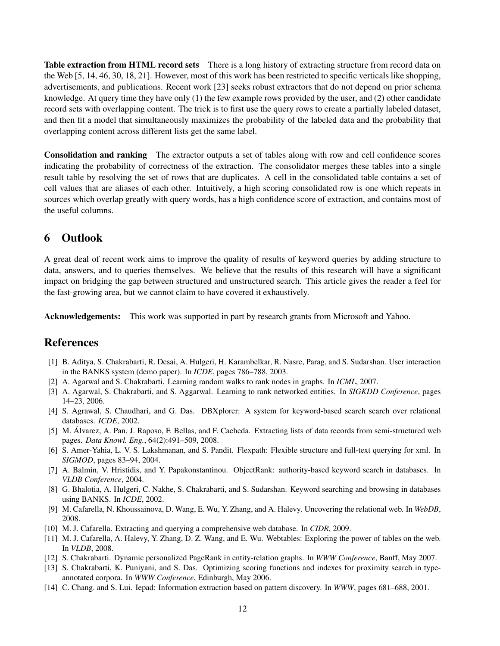Table extraction from HTML record sets There is a long history of extracting structure from record data on the Web [5, 14, 46, 30, 18, 21]. However, most of this work has been restricted to specific verticals like shopping, advertisements, and publications. Recent work [23] seeks robust extractors that do not depend on prior schema knowledge. At query time they have only (1) the few example rows provided by the user, and (2) other candidate record sets with overlapping content. The trick is to first use the query rows to create a partially labeled dataset, and then fit a model that simultaneously maximizes the probability of the labeled data and the probability that overlapping content across different lists get the same label.

Consolidation and ranking The extractor outputs a set of tables along with row and cell confidence scores indicating the probability of correctness of the extraction. The consolidator merges these tables into a single result table by resolving the set of rows that are duplicates. A cell in the consolidated table contains a set of cell values that are aliases of each other. Intuitively, a high scoring consolidated row is one which repeats in sources which overlap greatly with query words, has a high confidence score of extraction, and contains most of the useful columns.

# 6 Outlook

A great deal of recent work aims to improve the quality of results of keyword queries by adding structure to data, answers, and to queries themselves. We believe that the results of this research will have a significant impact on bridging the gap between structured and unstructured search. This article gives the reader a feel for the fast-growing area, but we cannot claim to have covered it exhaustively.

Acknowledgements: This work was supported in part by research grants from Microsoft and Yahoo.

# References

- [1] B. Aditya, S. Chakrabarti, R. Desai, A. Hulgeri, H. Karambelkar, R. Nasre, Parag, and S. Sudarshan. User interaction in the BANKS system (demo paper). In *ICDE*, pages 786–788, 2003.
- [2] A. Agarwal and S. Chakrabarti. Learning random walks to rank nodes in graphs. In *ICML*, 2007.
- [3] A. Agarwal, S. Chakrabarti, and S. Aggarwal. Learning to rank networked entities. In *SIGKDD Conference*, pages 14–23, 2006.
- [4] S. Agrawal, S. Chaudhari, and G. Das. DBXplorer: A system for keyword-based search search over relational databases. *ICDE*, 2002.
- [5] M. Alvarez, A. Pan, J. Raposo, F. Bellas, and F. Cacheda. Extracting lists of data records from semi-structured web ´ pages. *Data Knowl. Eng.*, 64(2):491–509, 2008.
- [6] S. Amer-Yahia, L. V. S. Lakshmanan, and S. Pandit. Flexpath: Flexible structure and full-text querying for xml. In *SIGMOD*, pages 83–94, 2004.
- [7] A. Balmin, V. Hristidis, and Y. Papakonstantinou. ObjectRank: authority-based keyword search in databases. In *VLDB Conference*, 2004.
- [8] G. Bhalotia, A. Hulgeri, C. Nakhe, S. Chakrabarti, and S. Sudarshan. Keyword searching and browsing in databases using BANKS. In *ICDE*, 2002.
- [9] M. Cafarella, N. Khoussainova, D. Wang, E. Wu, Y. Zhang, and A. Halevy. Uncovering the relational web. In *WebDB*, 2008.
- [10] M. J. Cafarella. Extracting and querying a comprehensive web database. In *CIDR*, 2009.
- [11] M. J. Cafarella, A. Halevy, Y. Zhang, D. Z. Wang, and E. Wu. Webtables: Exploring the power of tables on the web. In *VLDB*, 2008.
- [12] S. Chakrabarti. Dynamic personalized PageRank in entity-relation graphs. In *WWW Conference*, Banff, May 2007.
- [13] S. Chakrabarti, K. Puniyani, and S. Das. Optimizing scoring functions and indexes for proximity search in typeannotated corpora. In *WWW Conference*, Edinburgh, May 2006.
- [14] C. Chang. and S. Lui. Iepad: Information extraction based on pattern discovery. In *WWW*, pages 681–688, 2001.